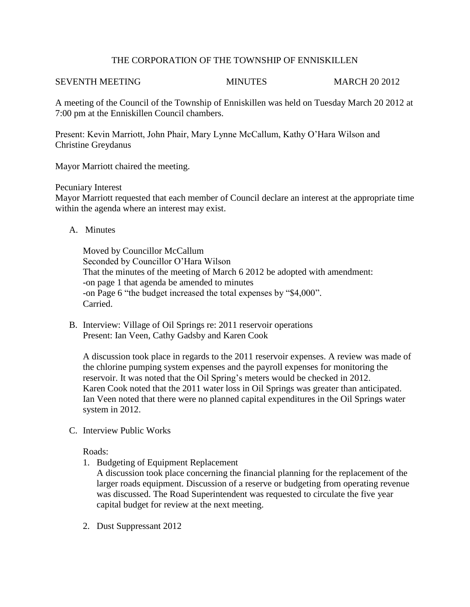# THE CORPORATION OF THE TOWNSHIP OF ENNISKILLEN

### SEVENTH MEETING MINUTES MINUTES MARCH 20 2012

A meeting of the Council of the Township of Enniskillen was held on Tuesday March 20 2012 at 7:00 pm at the Enniskillen Council chambers.

Present: Kevin Marriott, John Phair, Mary Lynne McCallum, Kathy O'Hara Wilson and Christine Greydanus

Mayor Marriott chaired the meeting.

## Pecuniary Interest

Mayor Marriott requested that each member of Council declare an interest at the appropriate time within the agenda where an interest may exist.

A. Minutes

Moved by Councillor McCallum Seconded by Councillor O'Hara Wilson That the minutes of the meeting of March 6 2012 be adopted with amendment: -on page 1 that agenda be amended to minutes -on Page 6 "the budget increased the total expenses by "\$4,000". Carried.

B. Interview: Village of Oil Springs re: 2011 reservoir operations Present: Ian Veen, Cathy Gadsby and Karen Cook

A discussion took place in regards to the 2011 reservoir expenses. A review was made of the chlorine pumping system expenses and the payroll expenses for monitoring the reservoir. It was noted that the Oil Spring's meters would be checked in 2012. Karen Cook noted that the 2011 water loss in Oil Springs was greater than anticipated. Ian Veen noted that there were no planned capital expenditures in the Oil Springs water system in 2012.

C. Interview Public Works

Roads:

1. Budgeting of Equipment Replacement

A discussion took place concerning the financial planning for the replacement of the larger roads equipment. Discussion of a reserve or budgeting from operating revenue was discussed. The Road Superintendent was requested to circulate the five year capital budget for review at the next meeting.

2. Dust Suppressant 2012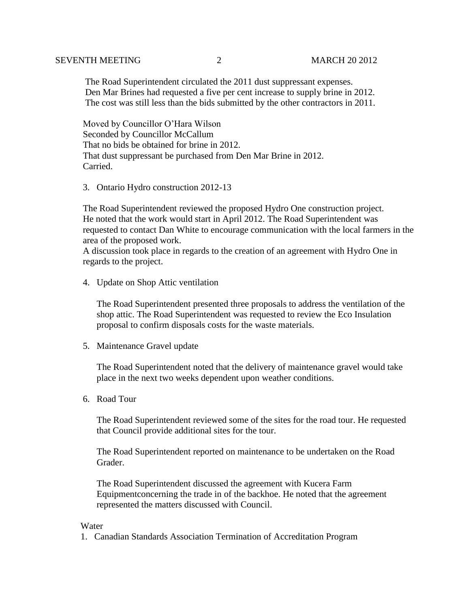The Road Superintendent circulated the 2011 dust suppressant expenses. Den Mar Brines had requested a five per cent increase to supply brine in 2012. The cost was still less than the bids submitted by the other contractors in 2011.

 Moved by Councillor O'Hara Wilson Seconded by Councillor McCallum That no bids be obtained for brine in 2012. That dust suppressant be purchased from Den Mar Brine in 2012. Carried.

3. Ontario Hydro construction 2012-13

The Road Superintendent reviewed the proposed Hydro One construction project. He noted that the work would start in April 2012. The Road Superintendent was requested to contact Dan White to encourage communication with the local farmers in the area of the proposed work.

A discussion took place in regards to the creation of an agreement with Hydro One in regards to the project.

4. Update on Shop Attic ventilation

The Road Superintendent presented three proposals to address the ventilation of the shop attic. The Road Superintendent was requested to review the Eco Insulation proposal to confirm disposals costs for the waste materials.

5. Maintenance Gravel update

The Road Superintendent noted that the delivery of maintenance gravel would take place in the next two weeks dependent upon weather conditions.

6. Road Tour

The Road Superintendent reviewed some of the sites for the road tour. He requested that Council provide additional sites for the tour.

The Road Superintendent reported on maintenance to be undertaken on the Road Grader.

The Road Superintendent discussed the agreement with Kucera Farm Equipmentconcerning the trade in of the backhoe. He noted that the agreement represented the matters discussed with Council.

## Water

1. Canadian Standards Association Termination of Accreditation Program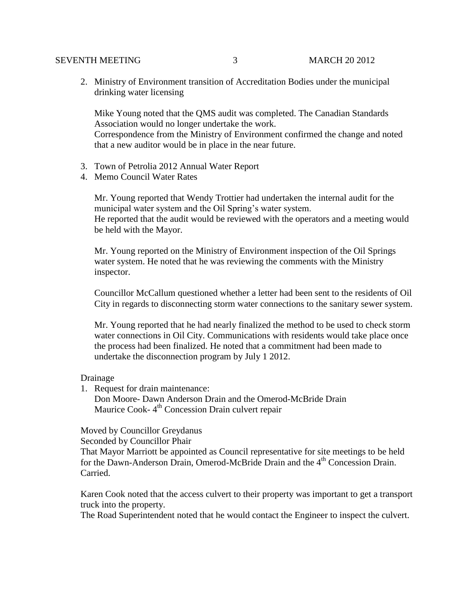## SEVENTH MEETING 3 MARCH 20 2012

2. Ministry of Environment transition of Accreditation Bodies under the municipal drinking water licensing

Mike Young noted that the QMS audit was completed. The Canadian Standards Association would no longer undertake the work.

Correspondence from the Ministry of Environment confirmed the change and noted that a new auditor would be in place in the near future.

- 3. Town of Petrolia 2012 Annual Water Report
- 4. Memo Council Water Rates

Mr. Young reported that Wendy Trottier had undertaken the internal audit for the municipal water system and the Oil Spring's water system. He reported that the audit would be reviewed with the operators and a meeting would be held with the Mayor.

Mr. Young reported on the Ministry of Environment inspection of the Oil Springs water system. He noted that he was reviewing the comments with the Ministry inspector.

Councillor McCallum questioned whether a letter had been sent to the residents of Oil City in regards to disconnecting storm water connections to the sanitary sewer system.

Mr. Young reported that he had nearly finalized the method to be used to check storm water connections in Oil City. Communications with residents would take place once the process had been finalized. He noted that a commitment had been made to undertake the disconnection program by July 1 2012.

Drainage

1. Request for drain maintenance: Don Moore- Dawn Anderson Drain and the Omerod-McBride Drain Maurice Cook-4<sup>th</sup> Concession Drain culvert repair

Moved by Councillor Greydanus

Seconded by Councillor Phair

That Mayor Marriott be appointed as Council representative for site meetings to be held for the Dawn-Anderson Drain, Omerod-McBride Drain and the 4th Concession Drain. Carried.

Karen Cook noted that the access culvert to their property was important to get a transport truck into the property.

The Road Superintendent noted that he would contact the Engineer to inspect the culvert.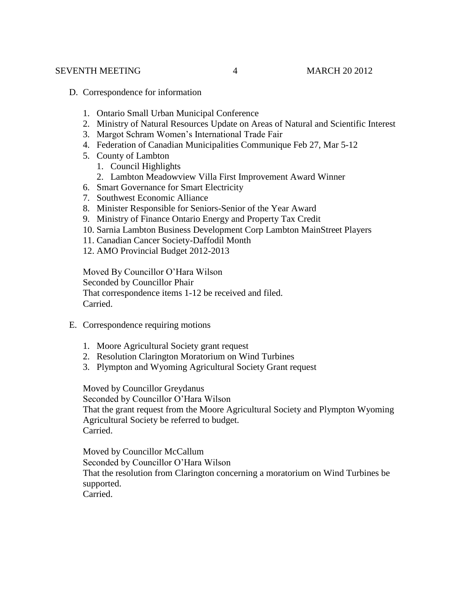- D. Correspondence for information
	- 1. Ontario Small Urban Municipal Conference
	- 2. Ministry of Natural Resources Update on Areas of Natural and Scientific Interest
	- 3. Margot Schram Women's International Trade Fair
	- 4. Federation of Canadian Municipalities Communique Feb 27, Mar 5-12
	- 5. County of Lambton
		- 1. Council Highlights
		- 2. Lambton Meadowview Villa First Improvement Award Winner
	- 6. Smart Governance for Smart Electricity
	- 7. Southwest Economic Alliance
	- 8. Minister Responsible for Seniors-Senior of the Year Award
	- 9. Ministry of Finance Ontario Energy and Property Tax Credit
	- 10. Sarnia Lambton Business Development Corp Lambton MainStreet Players
	- 11. Canadian Cancer Society-Daffodil Month
	- 12. AMO Provincial Budget 2012-2013

Moved By Councillor O'Hara Wilson Seconded by Councillor Phair That correspondence items 1-12 be received and filed. Carried.

- E. Correspondence requiring motions
	- 1. Moore Agricultural Society grant request
	- 2. Resolution Clarington Moratorium on Wind Turbines
	- 3. Plympton and Wyoming Agricultural Society Grant request

Moved by Councillor Greydanus

Seconded by Councillor O'Hara Wilson That the grant request from the Moore Agricultural Society and Plympton Wyoming Agricultural Society be referred to budget. Carried.

Moved by Councillor McCallum Seconded by Councillor O'Hara Wilson That the resolution from Clarington concerning a moratorium on Wind Turbines be supported. Carried.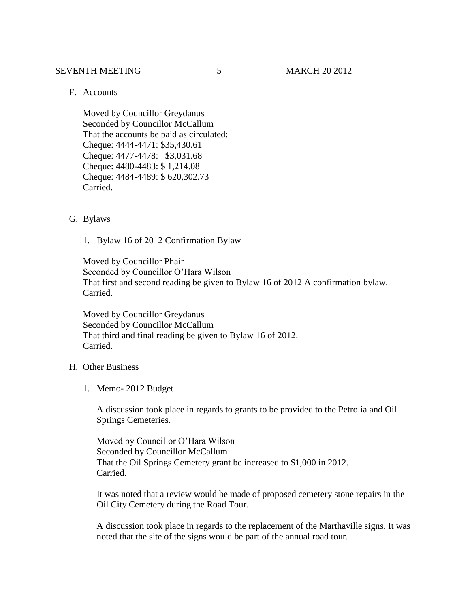#### SEVENTH MEETING 5 MARCH 20 2012

# F. Accounts

Moved by Councillor Greydanus Seconded by Councillor McCallum That the accounts be paid as circulated: Cheque: 4444-4471: \$35,430.61 Cheque: 4477-4478: \$3,031.68 Cheque: 4480-4483: \$ 1,214.08 Cheque: 4484-4489: \$ 620,302.73 Carried.

#### G. Bylaws

1. Bylaw 16 of 2012 Confirmation Bylaw

Moved by Councillor Phair Seconded by Councillor O'Hara Wilson That first and second reading be given to Bylaw 16 of 2012 A confirmation bylaw. Carried.

Moved by Councillor Greydanus Seconded by Councillor McCallum That third and final reading be given to Bylaw 16 of 2012. Carried.

# H. Other Business

1. Memo- 2012 Budget

A discussion took place in regards to grants to be provided to the Petrolia and Oil Springs Cemeteries.

Moved by Councillor O'Hara Wilson Seconded by Councillor McCallum That the Oil Springs Cemetery grant be increased to \$1,000 in 2012. Carried.

It was noted that a review would be made of proposed cemetery stone repairs in the Oil City Cemetery during the Road Tour.

A discussion took place in regards to the replacement of the Marthaville signs. It was noted that the site of the signs would be part of the annual road tour.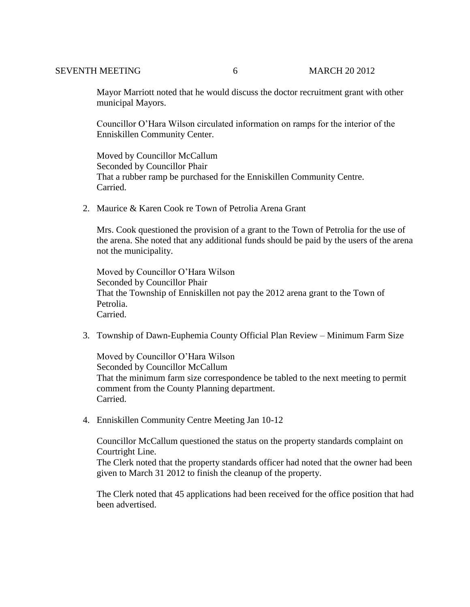Mayor Marriott noted that he would discuss the doctor recruitment grant with other municipal Mayors.

Councillor O'Hara Wilson circulated information on ramps for the interior of the Enniskillen Community Center.

Moved by Councillor McCallum Seconded by Councillor Phair That a rubber ramp be purchased for the Enniskillen Community Centre. Carried.

2. Maurice & Karen Cook re Town of Petrolia Arena Grant

Mrs. Cook questioned the provision of a grant to the Town of Petrolia for the use of the arena. She noted that any additional funds should be paid by the users of the arena not the municipality.

Moved by Councillor O'Hara Wilson Seconded by Councillor Phair That the Township of Enniskillen not pay the 2012 arena grant to the Town of Petrolia. Carried.

3. Township of Dawn-Euphemia County Official Plan Review – Minimum Farm Size

Moved by Councillor O'Hara Wilson Seconded by Councillor McCallum That the minimum farm size correspondence be tabled to the next meeting to permit comment from the County Planning department. Carried.

4. Enniskillen Community Centre Meeting Jan 10-12

Councillor McCallum questioned the status on the property standards complaint on Courtright Line.

The Clerk noted that the property standards officer had noted that the owner had been given to March 31 2012 to finish the cleanup of the property.

The Clerk noted that 45 applications had been received for the office position that had been advertised.